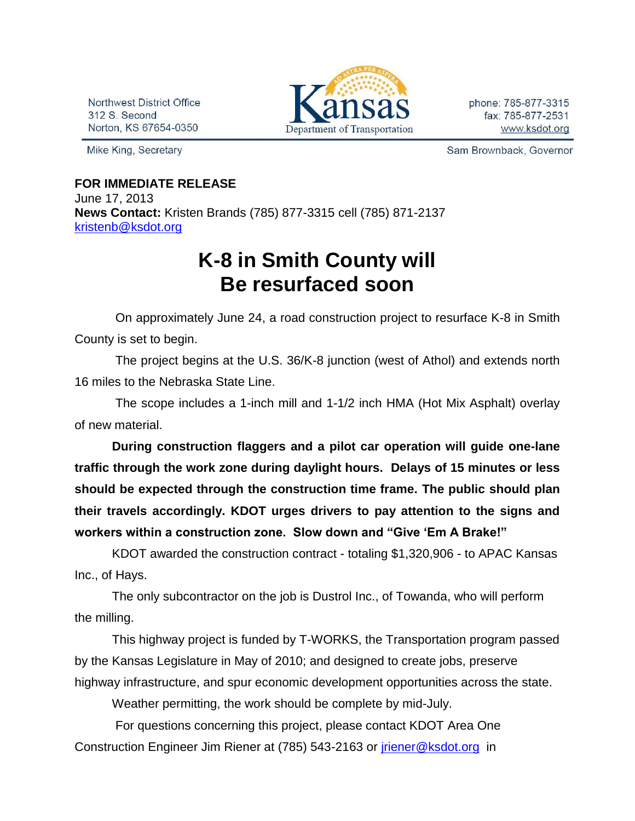Northwest District Office 312 S. Second Norton, KS 67654-0350

Mike King, Secretary



phone: 785-877-3315 fax: 785-877-2531 www.ksdot.org

Sam Brownback, Governor

## **FOR IMMEDIATE RELEASE**

June 17, 2013 **News Contact:** Kristen Brands (785) 877-3315 cell (785) 871-2137 [kristenb@ksdot.org](mailto:kristenb@ksdot.org)

## **K-8 in Smith County will Be resurfaced soon**

On approximately June 24, a road construction project to resurface K-8 in Smith County is set to begin.

The project begins at the U.S. 36/K-8 junction (west of Athol) and extends north 16 miles to the Nebraska State Line.

The scope includes a 1-inch mill and 1-1/2 inch HMA (Hot Mix Asphalt) overlay of new material.

**During construction flaggers and a pilot car operation will guide one-lane traffic through the work zone during daylight hours. Delays of 15 minutes or less should be expected through the construction time frame. The public should plan their travels accordingly. KDOT urges drivers to pay attention to the signs and workers within a construction zone. Slow down and "Give 'Em A Brake!"**

KDOT awarded the construction contract - totaling \$1,320,906 - to APAC Kansas Inc., of Hays.

The only subcontractor on the job is Dustrol Inc., of Towanda, who will perform the milling.

This highway project is funded by T-WORKS, the Transportation program passed by the Kansas Legislature in May of 2010; and designed to create jobs, preserve highway infrastructure, and spur economic development opportunities across the state.

Weather permitting, the work should be complete by mid-July.

For questions concerning this project, please contact KDOT Area One Construction Engineer Jim Riener at (785) 543-2163 or [jriener@ksdot.org](mailto:jriener@ksdot.org) in